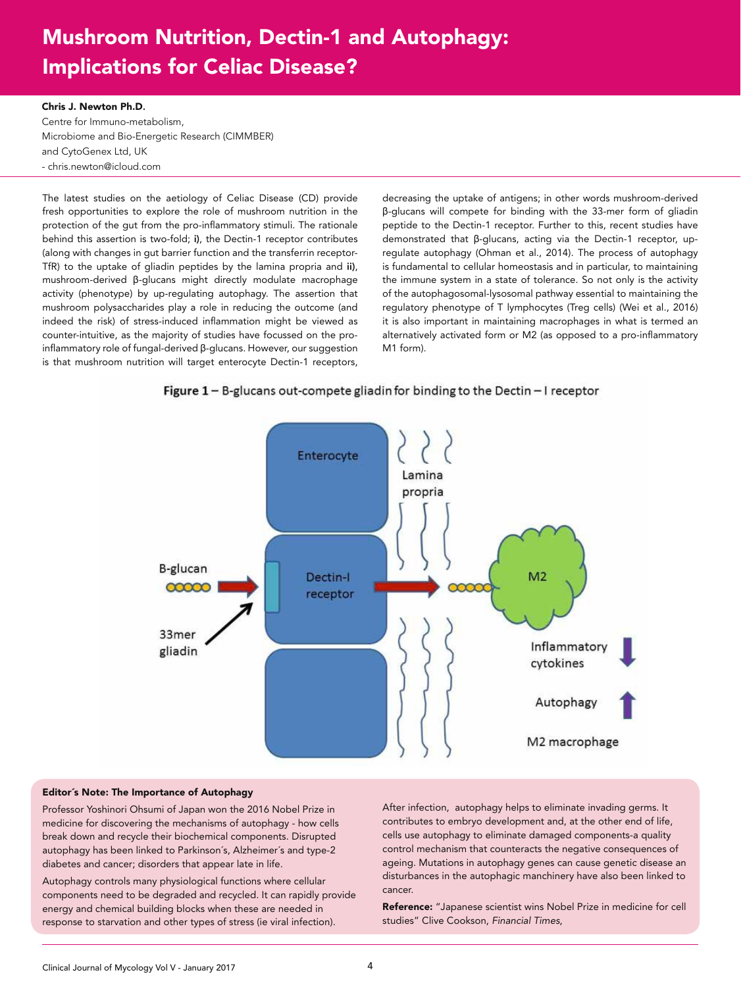## Mushroom Nutrition, Dectin-1 and Autophagy: Implications for Celiac Disease?

## Chris J. Newton Ph.D.

Centre for Immuno-metabolism, Microbiome and Bio-Energetic Research (CIMMBER) and CytoGenex Ltd, UK - chris.newton@icloud.com

The latest studies on the aetiology of Celiac Disease (CD) provide fresh opportunities to explore the role of mushroom nutrition in the protection of the gut from the pro-inflammatory stimuli. The rationale behind this assertion is two-fold; i), the Dectin-1 receptor contributes (along with changes in gut barrier function and the transferrin receptor-TfR) to the uptake of gliadin peptides by the lamina propria and ii), mushroom-derived β-glucans might directly modulate macrophage activity (phenotype) by up-regulating autophagy. The assertion that mushroom polysaccharides play a role in reducing the outcome (and indeed the risk) of stress-induced inflammation might be viewed as counter-intuitive, as the majority of studies have focussed on the proinflammatory role of fungal-derived β-glucans. However, our suggestion is that mushroom nutrition will target enterocyte Dectin-1 receptors,

decreasing the uptake of antigens; in other words mushroom-derived β-glucans will compete for binding with the 33-mer form of gliadin peptide to the Dectin-1 receptor. Further to this, recent studies have demonstrated that β-glucans, acting via the Dectin-1 receptor, upregulate autophagy (Ohman et al., 2014). The process of autophagy is fundamental to cellular homeostasis and in particular, to maintaining the immune system in a state of tolerance. So not only is the activity of the autophagosomal-lysosomal pathway essential to maintaining the regulatory phenotype of T lymphocytes (Treg cells) (Wei et al., 2016) it is also important in maintaining macrophages in what is termed an alternatively activated form or M2 (as opposed to a pro-inflammatory M1 form).





## Editor´s Note: The Importance of Autophagy

Professor Yoshinori Ohsumi of Japan won the 2016 Nobel Prize in medicine for discovering the mechanisms of autophagy - how cells break down and recycle their biochemical components. Disrupted autophagy has been linked to Parkinson´s, Alzheimer´s and type-2 diabetes and cancer; disorders that appear late in life.

Autophagy controls many physiological functions where cellular components need to be degraded and recycled. It can rapidly provide energy and chemical building blocks when these are needed in response to starvation and other types of stress (ie viral infection).

After infection, autophagy helps to eliminate invading germs. It contributes to embryo development and, at the other end of life, cells use autophagy to eliminate damaged components-a quality control mechanism that counteracts the negative consequences of ageing. Mutations in autophagy genes can cause genetic disease an disturbances in the autophagic manchinery have also been linked to cancer.

Reference: "Japanese scientist wins Nobel Prize in medicine for cell studies" Clive Cookson, *Financial Times*,